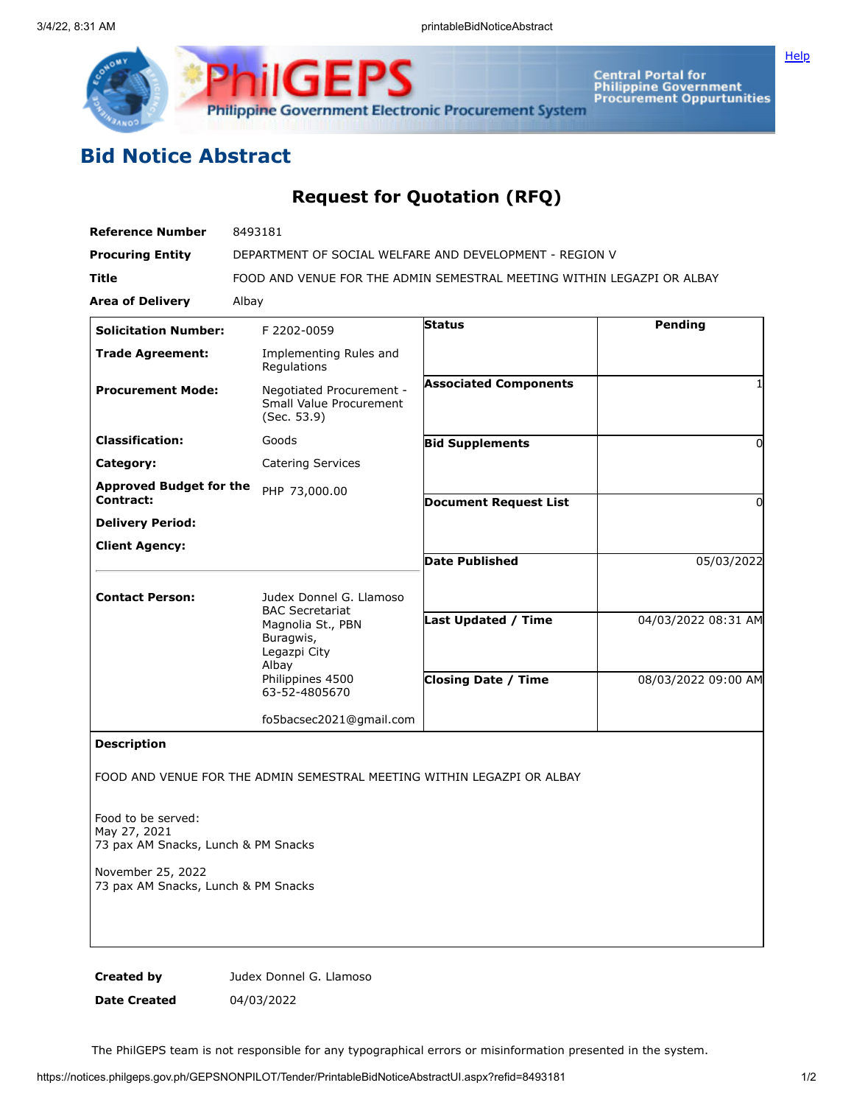



Central Portal for<br>Philippine Government<br>Procurement Oppurtunities

## **Bid Notice Abstract**

## **Request for Quotation (RFQ)**

| <b>Reference Number</b>                     | 8493181                                                                           |                              |                     |
|---------------------------------------------|-----------------------------------------------------------------------------------|------------------------------|---------------------|
| <b>Procuring Entity</b>                     | DEPARTMENT OF SOCIAL WELFARE AND DEVELOPMENT - REGION V                           |                              |                     |
| <b>Title</b>                                | FOOD AND VENUE FOR THE ADMIN SEMESTRAL MEETING WITHIN LEGAZPI OR ALBAY            |                              |                     |
| <b>Area of Delivery</b>                     | Albay                                                                             |                              |                     |
| <b>Solicitation Number:</b>                 | F 2202-0059                                                                       | Status                       | <b>Pending</b>      |
| <b>Trade Agreement:</b>                     | Implementing Rules and<br>Regulations                                             |                              |                     |
| <b>Procurement Mode:</b>                    | Negotiated Procurement -<br>Small Value Procurement<br>(Sec. 53.9)                | <b>Associated Components</b> |                     |
| <b>Classification:</b>                      | Goods                                                                             | <b>Bid Supplements</b>       | 0                   |
| Category:                                   | <b>Catering Services</b>                                                          |                              |                     |
| <b>Approved Budget for the</b><br>Contract: | PHP 73,000.00                                                                     |                              |                     |
|                                             |                                                                                   | <b>Document Request List</b> | 0                   |
| <b>Delivery Period:</b>                     |                                                                                   |                              |                     |
| <b>Client Agency:</b>                       |                                                                                   | <b>Date Published</b>        | 05/03/2022          |
| <b>Contact Person:</b>                      | Judex Donnel G. Llamoso                                                           |                              |                     |
|                                             | <b>BAC Secretariat</b><br>Magnolia St., PBN<br>Buragwis,<br>Legazpi City<br>Albay | <b>Last Updated / Time</b>   | 04/03/2022 08:31 AM |
|                                             | Philippines 4500<br>63-52-4805670                                                 | <b>Closing Date / Time</b>   | 08/03/2022 09:00 AM |
|                                             | fo5bacsec2021@gmail.com                                                           |                              |                     |
| <b>Description</b>                          | FOOD AND VENUE FOR THE ADMIN SEMESTRAL MEETING WITHIN LEGAZPI OR ALBAY            |                              |                     |

Food to be served: May 27, 2021 73 pax AM Snacks, Lunch & PM Snacks

November 25, 2022 73 pax AM Snacks, Lunch & PM Snacks

**Created by** Judex Donnel G. Llamoso

**Date Created** 04/03/2022

The PhilGEPS team is not responsible for any typographical errors or misinformation presented in the system.